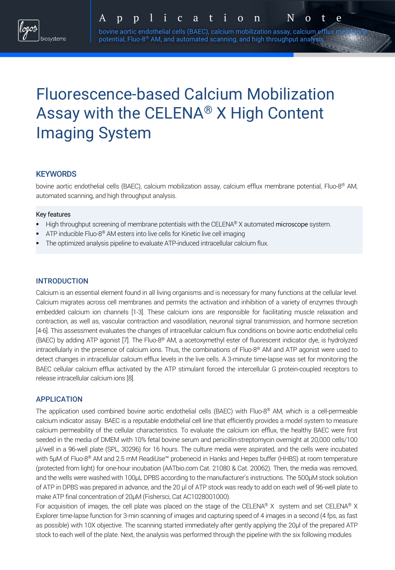# Fluorescence-based Calcium Mobilization Assay with the CELENA® X High Content Imaging System

## **KEYWORDS**

bovine aortic endothelial cells (BAEC), calcium mobilization assay, calcium efflux membrane potential, Fluo-8® AM, automated scanning, and high throughput analysis.

### Key features

- High throughput screening of membrane potentials with the CELENA® X automated microscope system.
- § ATP inducible Fluo-8® AM esters into live cells for Kinetic live cell imaging
- The optimized analysis pipeline to evaluate ATP-induced intracellular calcium flux.

## **INTRODUCTION**

Calcium is an essential element found in all living organisms and is necessary for many functions at the cellular level. Calcium migrates across cell membranes and permits the activation and inhibition of a variety of enzymes through embedded calcium ion channels [1-3]. These calcium ions are responsible for facilitating muscle relaxation and contraction, as well as, vascular contraction and vasodilation, neuronal signal transmission, and hormone secretion [4-6]. This assessment evaluates the changes of intracellular calcium flux conditions on bovine aortic endothelial cells (BAEC) by adding ATP agonist [7]. The Fluo-8® AM, a acetoxymethyl ester of fluorescent indicator dye, is hydrolyzed intracellularly in the presence of calcium ions. Thus, the combinations of Fluo-8® AM and ATP agonist were used to detect changes in intracellular calcium efflux levels in the live cells. A 3-minute time-lapse was set for monitoring the BAEC cellular calcium efflux activated by the ATP stimulant forced the intercellular G protein-coupled receptors to release intracellular calcium ions [8].

### APPLICATION

The application used combined bovine aortic endothelial cells (BAEC) with Fluo-8® AM, which is a cell-permeable calcium indicator assay. BAEC is a reputable endothelial cell line that efficiently provides a model system to measure calcium permeability of the cellular characteristics. To evaluate the calcium ion efflux, the healthy BAEC were first seeded in the media of DMEM with 10% fetal bovine serum and penicillin-streptomycin overnight at 20,000 cells/100 μl/well in a 96-well plate (SPL, 30296) for 16 hours. The culture media were aspirated, and the cells were incubated with 5μM of Fluo-8<sup>®</sup> AM and 2.5 mM ReadiUse™ probenecid in Hanks and Hepes buffer (HHBS) at room temperature (protected from light) for one-hour incubation (AATbio.com Cat. 21080 & Cat. 20062). Then, the media was removed, and the wells were washed with 100µL DPBS according to the manufacturer's instructions. The 500μM stock solution of ATP in DPBS was prepared in advance, and the 20 μl of ATP stock was ready to add on each well of 96-well plate to make ATP final concentration of 20μM (Fishersci, Cat AC1028001000).

For acquisition of images, the cell plate was placed on the stage of the CELENA® X system and set CELENA® X Explorer time-lapse function for 3-min scanning of images and capturing speed of 4 images in a second (4 fps, as fast as possible) with 10X objective. The scanning started immediately after gently applying the 20μl of the prepared ATP stock to each well of the plate. Next, the analysis was performed through the pipeline with the six following modules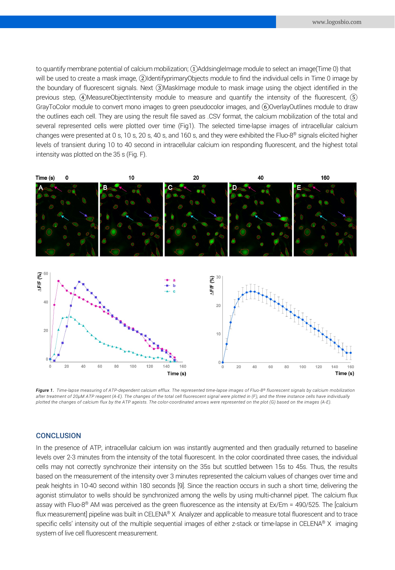to quantify membrane potential of calcium mobilization; ①AddsingleImage module to select an image(Time 0) that will be used to create a mask image, 2)IdentifyprimaryObjects module to find the individual cells in Time 0 image by the boundary of fluorescent signals. Next ③MaskImage module to mask image using the object identified in the previous step,  $\widehat{A}$ )MeasureObjectIntensity module to measure and quantify the intensity of the fluorescent,  $\widehat{B}$ ) GrayToColor module to convert mono images to green pseudocolor images, and ⑥OverlayOutlines module to draw the outlines each cell. They are using the result file saved as .CSV format, the calcium mobilization of the total and several represented cells were plotted over time (Fig1). The selected time-lapse images of intracellular calcium changes were presented at 0 s, 10 s, 20 s, 40 s, and 160 s, and they were exhibited the Fluo-8® signals elicited higher levels of transient during 10 to 40 second in intracellular calcium ion responding fluorescent, and the highest total intensity was plotted on the 35 s (Fig. F).



*Figure 1. Time-lapse measuring of ATP-dependent calcium efflux. The represented time-lapse images of Fluo-8® fluorescent signals by calcium mobilization after treatment of 20µM ATP reagent (A-E). The changes of the total cell fluorescent signal were plotted in (F), and the three instance cells have individually plotted the changes of calcium flux by the ATP ageists. The color-coordinated arrows were represented on the plot (G) based on the images (A-E).*

#### **CONCLUSION**

In the presence of ATP, intracellular calcium ion was instantly augmented and then gradually returned to baseline levels over 2-3 minutes from the intensity of the total fluorescent. In the color coordinated three cases, the individual cells may not correctly synchronize their intensity on the 35s but scuttled between 15s to 45s. Thus, the results based on the measurement of the intensity over 3 minutes represented the calcium values of changes over time and peak heights in 10-40 second within 180 seconds [9]. Since the reaction occurs in such a short time, delivering the agonist stimulator to wells should be synchronized among the wells by using multi-channel pipet. The calcium flux assay with Fluo-8® AM was perceived as the green fluorescence as the intensity at Ex/Em = 490/525. The [calcium flux measurement] pipeline was built in CELENA® X Analyzer and applicable to measure total fluorescent and to trace specific cells' intensity out of the multiple sequential images of either z-stack or time-lapse in CELENA® X imaging system of live cell fluorescent measurement.